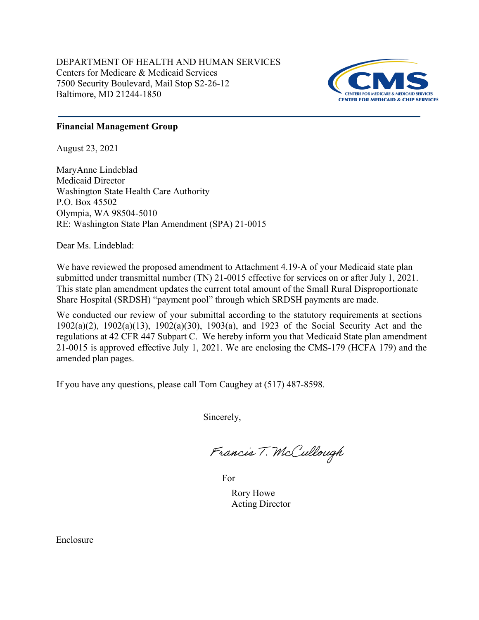DEPARTMENT OF HEALTH AND HUMAN SERVICES Centers for Medicare & Medicaid Services 7500 Security Boulevard, Mail Stop S2-26-12 Baltimore, MD 21244-1850



# **Financial Management Group**

August 23, 2021

MaryAnne Lindeblad Medicaid Director Washington State Health Care Authority P.O. Box 45502 Olympia, WA 98504-5010 RE: Washington State Plan Amendment (SPA) 21-0015

Dear Ms. Lindeblad:

We have reviewed the proposed amendment to Attachment 4.19-A of your Medicaid state plan submitted under transmittal number (TN) 21-0015 effective for services on or after July 1, 2021. This state plan amendment updates the current total amount of the Small Rural Disproportionate Share Hospital (SRDSH) "payment pool" through which SRDSH payments are made.

We conducted our review of your submittal according to the statutory requirements at sections 1902(a)(2), 1902(a)(13), 1902(a)(30), 1903(a), and 1923 of the Social Security Act and the regulations at 42 CFR 447 Subpart C. We hereby inform you that Medicaid State plan amendment 21-0015 is approved effective July 1, 2021. We are enclosing the CMS-179 (HCFA 179) and the amended plan pages.

If you have any questions, please call Tom Caughey at (517) 487-8598.

Sincerely,

Francis T. McCullough

For

Rory Howe Acting Director

Enclosure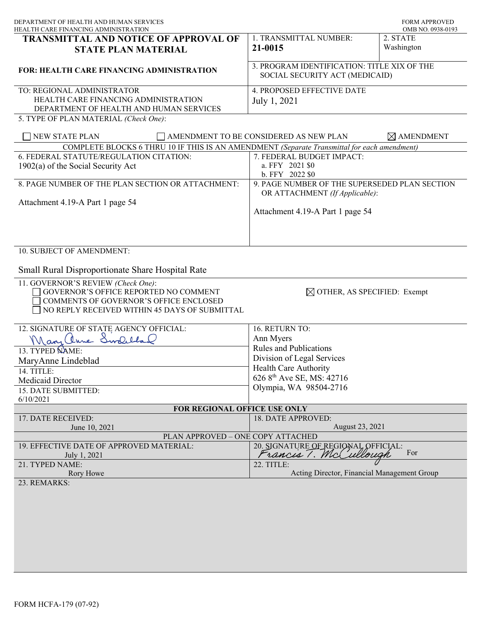| DEPARTMENT OF HEALTH AND HUMAN SERVICES<br>HEALTH CARE FINANCING ADMINISTRATION                                                                                        |                                                                                 | <b>FORM APPROVED</b><br>OMB NO. 0938-0193 |
|------------------------------------------------------------------------------------------------------------------------------------------------------------------------|---------------------------------------------------------------------------------|-------------------------------------------|
| <b>TRANSMITTAL AND NOTICE OF APPROVAL OF</b><br><b>STATE PLAN MATERIAL</b>                                                                                             | 1. TRANSMITTAL NUMBER:<br>21-0015                                               | 2. STATE<br>Washington                    |
| <b>FOR: HEALTH CARE FINANCING ADMINISTRATION</b>                                                                                                                       | 3. PROGRAM IDENTIFICATION: TITLE XIX OF THE<br>SOCIAL SECURITY ACT (MEDICAID)   |                                           |
| TO: REGIONAL ADMINISTRATOR<br>HEALTH CARE FINANCING ADMINISTRATION<br>DEPARTMENT OF HEALTH AND HUMAN SERVICES                                                          | 4. PROPOSED EFFECTIVE DATE<br>July 1, 2021                                      |                                           |
| 5. TYPE OF PLAN MATERIAL (Check One):                                                                                                                                  |                                                                                 |                                           |
| NEW STATE PLAN                                                                                                                                                         | AMENDMENT TO BE CONSIDERED AS NEW PLAN                                          | $\times$ AMENDMENT                        |
| COMPLETE BLOCKS 6 THRU 10 IF THIS IS AN AMENDMENT (Separate Transmittal for each amendment)                                                                            |                                                                                 |                                           |
| 6. FEDERAL STATUTE/REGULATION CITATION:<br>$1902(a)$ of the Social Security Act                                                                                        | 7. FEDERAL BUDGET IMPACT:<br>a. FFY 2021 \$0<br>b. FFY 2022 \$0                 |                                           |
| 8. PAGE NUMBER OF THE PLAN SECTION OR ATTACHMENT:                                                                                                                      | 9. PAGE NUMBER OF THE SUPERSEDED PLAN SECTION<br>OR ATTACHMENT (If Applicable): |                                           |
| Attachment 4.19-A Part 1 page 54                                                                                                                                       | Attachment 4.19-A Part 1 page 54                                                |                                           |
| 10. SUBJECT OF AMENDMENT:<br><b>Small Rural Disproportionate Share Hospital Rate</b>                                                                                   |                                                                                 |                                           |
| 11. GOVERNOR'S REVIEW (Check One):<br>GOVERNOR'S OFFICE REPORTED NO COMMENT<br>COMMENTS OF GOVERNOR'S OFFICE ENCLOSED<br>NO REPLY RECEIVED WITHIN 45 DAYS OF SUBMITTAL | $\boxtimes$ OTHER, AS SPECIFIED: Exempt                                         |                                           |
| 12. SIGNATURE OF STATE AGENCY OFFICIAL:                                                                                                                                | 16. RETURN TO:                                                                  |                                           |
| Mary Clune Swolelland                                                                                                                                                  | Ann Myers                                                                       |                                           |
| 13. TYPED NAME:                                                                                                                                                        | <b>Rules and Publications</b>                                                   |                                           |
| MaryAnne Lindeblad                                                                                                                                                     | Division of Legal Services                                                      |                                           |
| 14. TITLE:                                                                                                                                                             | Health Care Authority                                                           |                                           |
| Medicaid Director                                                                                                                                                      | 626 8 <sup>th</sup> Ave SE, MS: 42716                                           |                                           |
| 15. DATE SUBMITTED:                                                                                                                                                    | Olympia, WA 98504-2716                                                          |                                           |
| 6/10/2021                                                                                                                                                              |                                                                                 |                                           |
| 17. DATE RECEIVED:                                                                                                                                                     | FOR REGIONAL OFFICE USE ONLY<br>18. DATE APPROVED:                              |                                           |
| June 10, 2021                                                                                                                                                          | August 23, 2021                                                                 |                                           |
| PLAN APPROVED - ONE COPY ATTACHED                                                                                                                                      |                                                                                 |                                           |
| 19. EFFECTIVE DATE OF APPROVED MATERIAL:                                                                                                                               | 20. SIGNATURE OF REGIONAL OFFICIAL:                                             |                                           |
| July 1, 2021                                                                                                                                                           | rancis 1. McCullough                                                            | For                                       |
| 21. TYPED NAME:<br>Rory Howe                                                                                                                                           | 22. TITLE:<br>Acting Director, Financial Management Group                       |                                           |
| 23. REMARKS:                                                                                                                                                           |                                                                                 |                                           |